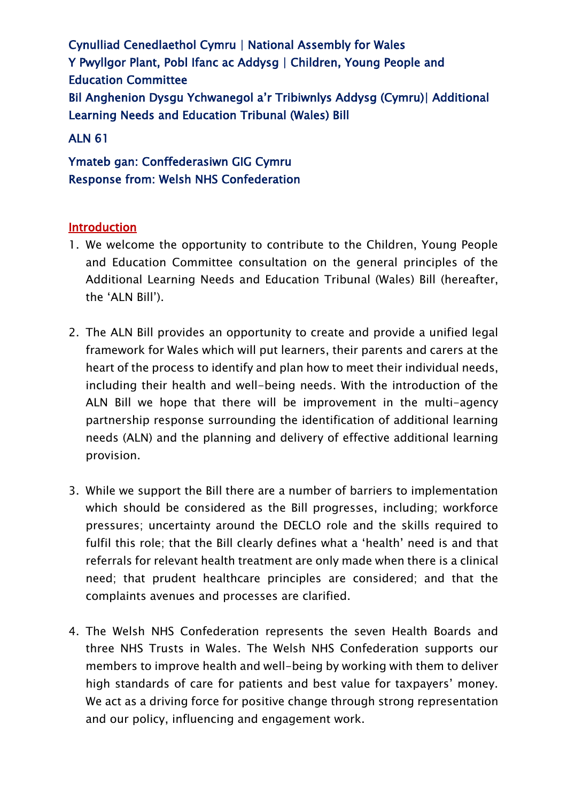Cynulliad Cenedlaethol Cymru | National Assembly for Wales Y Pwyllgor Plant, Pobl Ifanc ac Addysg | Children, Young People and Education Committee Bil Anghenion Dysgu Ychwanegol a'r Tribiwnlys Addysg (Cymru)| Additional Learning Needs and Education Tribunal (Wales) Bill

# ALN 61

Ymateb gan: Conffederasiwn GIG Cymru Response from: Welsh NHS Confederation

# Introduction

- 1. We welcome the opportunity to contribute to the Children, Young People and Education Committee consultation on the general principles of the Additional Learning Needs and Education Tribunal (Wales) Bill (hereafter, the 'ALN Bill').
- 2. The ALN Bill provides an opportunity to create and provide a unified legal framework for Wales which will put learners, their parents and carers at the heart of the process to identify and plan how to meet their individual needs, including their health and well-being needs. With the introduction of the ALN Bill we hope that there will be improvement in the multi-agency partnership response surrounding the identification of additional learning needs (ALN) and the planning and delivery of effective additional learning provision.
- 3. While we support the Bill there are a number of barriers to implementation which should be considered as the Bill progresses, including; workforce pressures; uncertainty around the DECLO role and the skills required to fulfil this role; that the Bill clearly defines what a 'health' need is and that referrals for relevant health treatment are only made when there is a clinical need; that prudent healthcare principles are considered; and that the complaints avenues and processes are clarified.
- 4. The Welsh NHS Confederation represents the seven Health Boards and three NHS Trusts in Wales. The Welsh NHS Confederation supports our members to improve health and well-being by working with them to deliver high standards of care for patients and best value for taxpayers' money. We act as a driving force for positive change through strong representation and our policy, influencing and engagement work.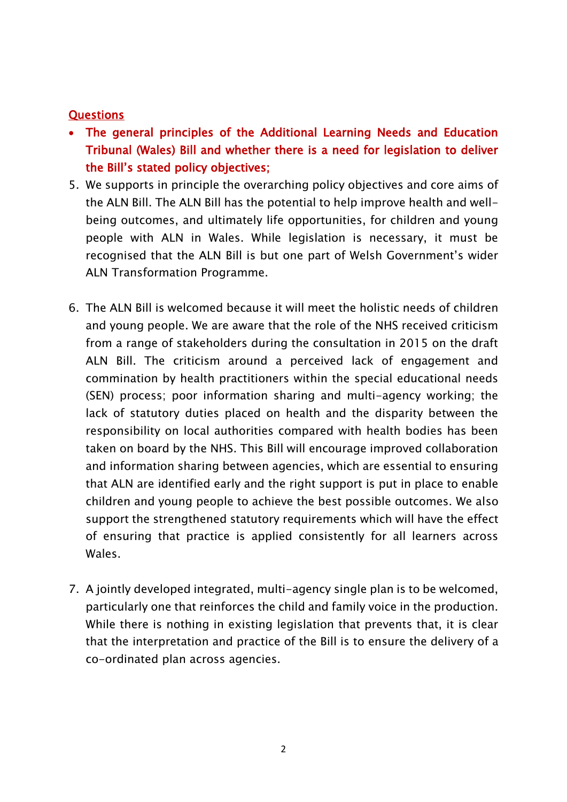## **Questions**

- The general principles of the Additional Learning Needs and Education Tribunal (Wales) Bill and whether there is a need for legislation to deliver the Bill's stated policy objectives;
- 5. We supports in principle the overarching policy objectives and core aims of the ALN Bill. The ALN Bill has the potential to help improve health and wellbeing outcomes, and ultimately life opportunities, for children and young people with ALN in Wales. While legislation is necessary, it must be recognised that the ALN Bill is but one part of Welsh Government's wider ALN Transformation Programme.
- 6. The ALN Bill is welcomed because it will meet the holistic needs of children and young people. We are aware that the role of the NHS received criticism from a range of stakeholders during the consultation in 2015 on the draft ALN Bill. The criticism around a perceived lack of engagement and commination by health practitioners within the special educational needs (SEN) process; poor information sharing and multi-agency working; the lack of statutory duties placed on health and the disparity between the responsibility on local authorities compared with health bodies has been taken on board by the NHS. This Bill will encourage improved collaboration and information sharing between agencies, which are essential to ensuring that ALN are identified early and the right support is put in place to enable children and young people to achieve the best possible outcomes. We also support the strengthened statutory requirements which will have the effect of ensuring that practice is applied consistently for all learners across Wales.
- 7. A jointly developed integrated, multi-agency single plan is to be welcomed, particularly one that reinforces the child and family voice in the production. While there is nothing in existing legislation that prevents that, it is clear that the interpretation and practice of the Bill is to ensure the delivery of a co-ordinated plan across agencies.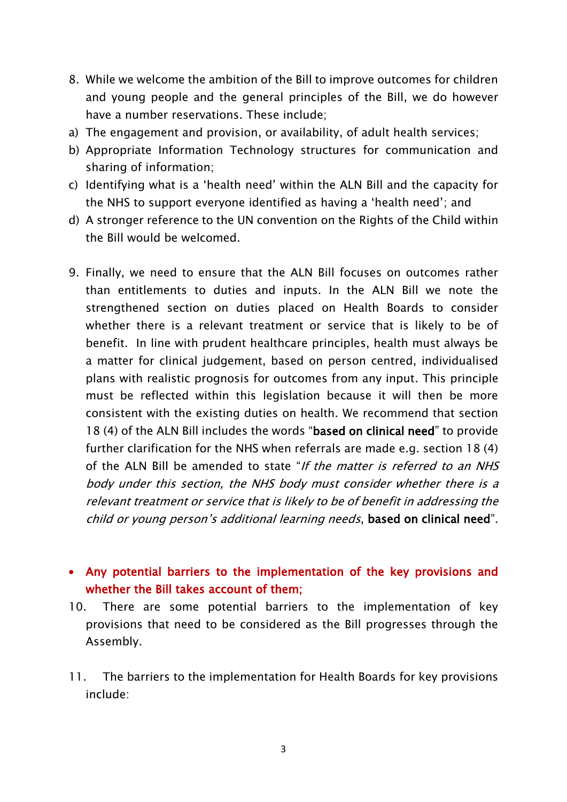- 8. While we welcome the ambition of the Bill to improve outcomes for children and young people and the general principles of the Bill, we do however have a number reservations. These include;
- a) The engagement and provision, or availability, of adult health services;
- b) Appropriate Information Technology structures for communication and sharing of information;
- c) Identifying what is a 'health need' within the ALN Bill and the capacity for the NHS to support everyone identified as having a 'health need'; and
- d) A stronger reference to the UN convention on the Rights of the Child within the Bill would be welcomed.
- 9. Finally, we need to ensure that the ALN Bill focuses on outcomes rather than entitlements to duties and inputs. In the ALN Bill we note the strengthened section on duties placed on Health Boards to consider whether there is a relevant treatment or service that is likely to be of benefit. In line with prudent healthcare principles, health must always be a matter for clinical judgement, based on person centred, individualised plans with realistic prognosis for outcomes from any input. This principle must be reflected within this legislation because it will then be more consistent with the existing duties on health. We recommend that section 18 (4) of the ALN Bill includes the words "based on clinical need" to provide further clarification for the NHS when referrals are made e.g. section 18 (4) of the ALN Bill be amended to state "If the matter is referred to an NHS body under this section, the NHS body must consider whether there is a relevant treatment or service that is likely to be of benefit in addressing the child or young person's additional learning needs, based on clinical need".

# Any potential barriers to the implementation of the key provisions and whether the Bill takes account of them;

- 10. There are some potential barriers to the implementation of key provisions that need to be considered as the Bill progresses through the Assembly.
- 11. The barriers to the implementation for Health Boards for key provisions include: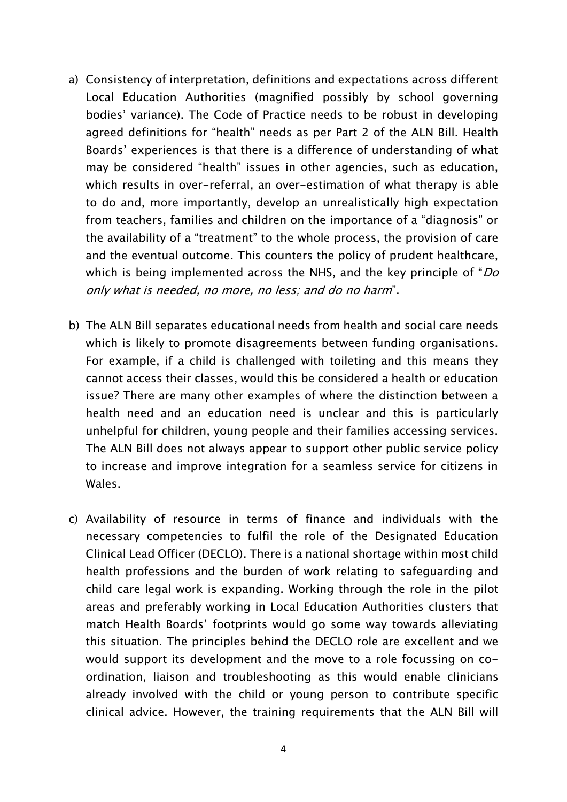- a) Consistency of interpretation, definitions and expectations across different Local Education Authorities (magnified possibly by school governing bodies' variance). The Code of Practice needs to be robust in developing agreed definitions for "health" needs as per Part 2 of the ALN Bill. Health Boards' experiences is that there is a difference of understanding of what may be considered "health" issues in other agencies, such as education, which results in over-referral, an over-estimation of what therapy is able to do and, more importantly, develop an unrealistically high expectation from teachers, families and children on the importance of a "diagnosis" or the availability of a "treatment" to the whole process, the provision of care and the eventual outcome. This counters the policy of prudent healthcare, which is being implemented across the NHS, and the key principle of " $Do$ only what is needed, no more, no less; and do no harm".
- b) The ALN Bill separates educational needs from health and social care needs which is likely to promote disagreements between funding organisations. For example, if a child is challenged with toileting and this means they cannot access their classes, would this be considered a health or education issue? There are many other examples of where the distinction between a health need and an education need is unclear and this is particularly unhelpful for children, young people and their families accessing services. The ALN Bill does not always appear to support other public service policy to increase and improve integration for a seamless service for citizens in Wales.
- c) Availability of resource in terms of finance and individuals with the necessary competencies to fulfil the role of the Designated Education Clinical Lead Officer (DECLO). There is a national shortage within most child health professions and the burden of work relating to safeguarding and child care legal work is expanding. Working through the role in the pilot areas and preferably working in Local Education Authorities clusters that match Health Boards' footprints would go some way towards alleviating this situation. The principles behind the DECLO role are excellent and we would support its development and the move to a role focussing on coordination, liaison and troubleshooting as this would enable clinicians already involved with the child or young person to contribute specific clinical advice. However, the training requirements that the ALN Bill will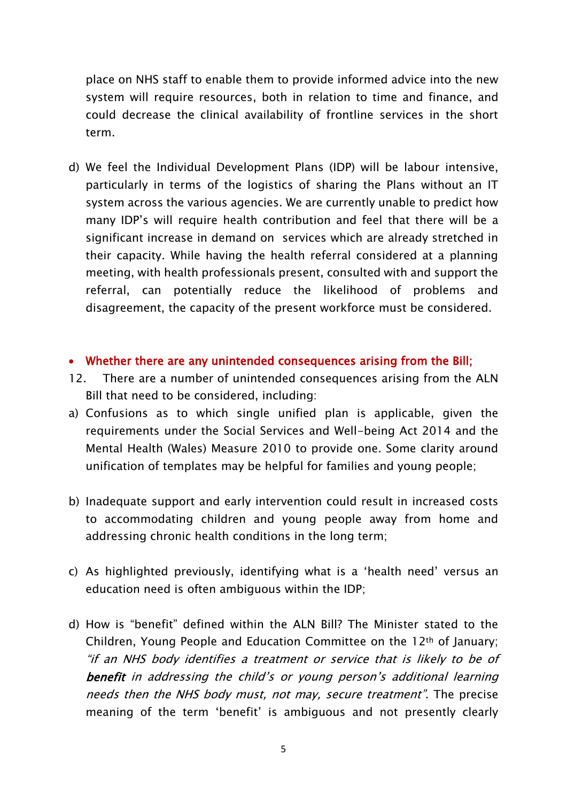place on NHS staff to enable them to provide informed advice into the new system will require resources, both in relation to time and finance, and could decrease the clinical availability of frontline services in the short term.

- d) We feel the Individual Development Plans (IDP) will be labour intensive, particularly in terms of the logistics of sharing the Plans without an IT system across the various agencies. We are currently unable to predict how many IDP's will require health contribution and feel that there will be a significant increase in demand on services which are already stretched in their capacity. While having the health referral considered at a planning meeting, with health professionals present, consulted with and support the referral, can potentially reduce the likelihood of problems and disagreement, the capacity of the present workforce must be considered.
- Whether there are any unintended consequences arising from the Bill;
- 12. There are a number of unintended consequences arising from the ALN Bill that need to be considered, including:
- a) Confusions as to which single unified plan is applicable, given the requirements under the Social Services and Well-being Act 2014 and the Mental Health (Wales) Measure 2010 to provide one. Some clarity around unification of templates may be helpful for families and young people;
- b) Inadequate support and early intervention could result in increased costs to accommodating children and young people away from home and addressing chronic health conditions in the long term;
- c) As highlighted previously, identifying what is a 'health need' versus an education need is often ambiguous within the IDP;
- d) How is "benefit" defined within the ALN Bill? The Minister stated to the Children, Young People and Education Committee on the 12th of January; "if an NHS body identifies a treatment or service that is likely to be of benefit in addressing the child's or young person's additional learning needs then the NHS body must, not may, secure treatment". The precise meaning of the term 'benefit' is ambiguous and not presently clearly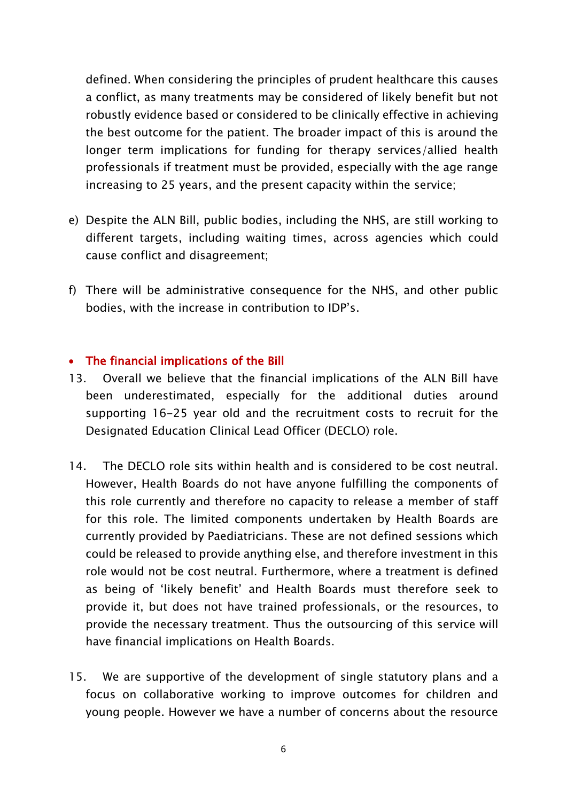defined. When considering the principles of prudent healthcare this causes a conflict, as many treatments may be considered of likely benefit but not robustly evidence based or considered to be clinically effective in achieving the best outcome for the patient. The broader impact of this is around the longer term implications for funding for therapy services/allied health professionals if treatment must be provided, especially with the age range increasing to 25 years, and the present capacity within the service;

- e) Despite the ALN Bill, public bodies, including the NHS, are still working to different targets, including waiting times, across agencies which could cause conflict and disagreement;
- f) There will be administrative consequence for the NHS, and other public bodies, with the increase in contribution to IDP's.

### The financial implications of the Bill

- 13. Overall we believe that the financial implications of the ALN Bill have been underestimated, especially for the additional duties around supporting 16-25 year old and the recruitment costs to recruit for the Designated Education Clinical Lead Officer (DECLO) role.
- 14. The DECLO role sits within health and is considered to be cost neutral. However, Health Boards do not have anyone fulfilling the components of this role currently and therefore no capacity to release a member of staff for this role. The limited components undertaken by Health Boards are currently provided by Paediatricians. These are not defined sessions which could be released to provide anything else, and therefore investment in this role would not be cost neutral. Furthermore, where a treatment is defined as being of 'likely benefit' and Health Boards must therefore seek to provide it, but does not have trained professionals, or the resources, to provide the necessary treatment. Thus the outsourcing of this service will have financial implications on Health Boards.
- 15. We are supportive of the development of single statutory plans and a focus on collaborative working to improve outcomes for children and young people. However we have a number of concerns about the resource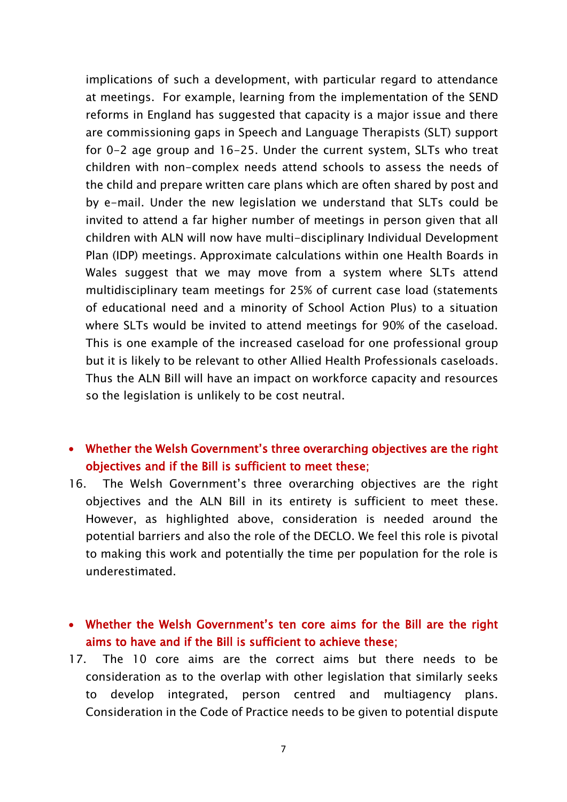implications of such a development, with particular regard to attendance at meetings. For example, learning from the implementation of the SEND reforms in England has suggested that capacity is a major issue and there are commissioning gaps in Speech and Language Therapists (SLT) support for 0-2 age group and 16-25. Under the current system, SLTs who treat children with non-complex needs attend schools to assess the needs of the child and prepare written care plans which are often shared by post and by e-mail. Under the new legislation we understand that SLTs could be invited to attend a far higher number of meetings in person given that all children with ALN will now have multi-disciplinary Individual Development Plan (IDP) meetings. Approximate calculations within one Health Boards in Wales suggest that we may move from a system where SLTs attend multidisciplinary team meetings for 25% of current case load (statements of educational need and a minority of School Action Plus) to a situation where SLTs would be invited to attend meetings for 90% of the caseload. This is one example of the increased caseload for one professional group but it is likely to be relevant to other Allied Health Professionals caseloads. Thus the ALN Bill will have an impact on workforce capacity and resources so the legislation is unlikely to be cost neutral.

# Whether the Welsh Government's three overarching objectives are the right objectives and if the Bill is sufficient to meet these;

16. The Welsh Government's three overarching objectives are the right objectives and the ALN Bill in its entirety is sufficient to meet these. However, as highlighted above, consideration is needed around the potential barriers and also the role of the DECLO. We feel this role is pivotal to making this work and potentially the time per population for the role is underestimated.

# Whether the Welsh Government's ten core aims for the Bill are the right aims to have and if the Bill is sufficient to achieve these;

17. The 10 core aims are the correct aims but there needs to be consideration as to the overlap with other legislation that similarly seeks to develop integrated, person centred and multiagency plans. Consideration in the Code of Practice needs to be given to potential dispute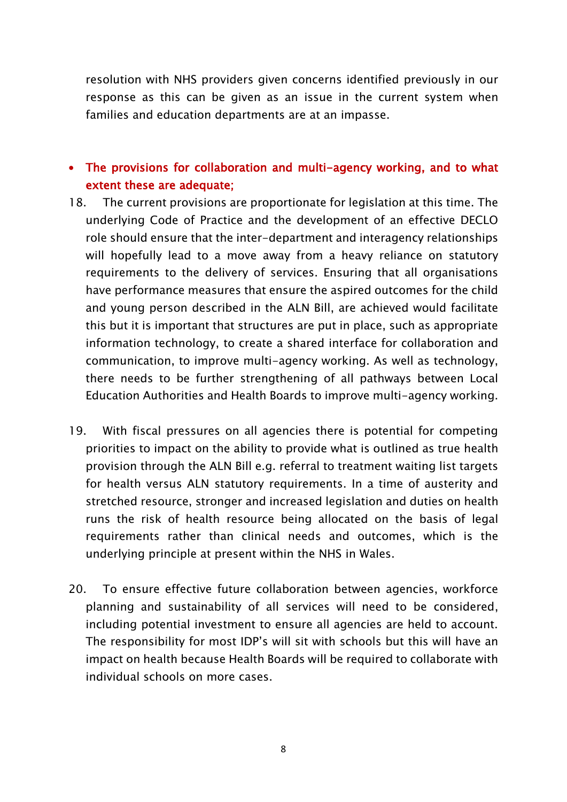resolution with NHS providers given concerns identified previously in our response as this can be given as an issue in the current system when families and education departments are at an impasse.

# The provisions for collaboration and multi-agency working, and to what extent these are adequate;

- 18. The current provisions are proportionate for legislation at this time. The underlying Code of Practice and the development of an effective DECLO role should ensure that the inter-department and interagency relationships will hopefully lead to a move away from a heavy reliance on statutory requirements to the delivery of services. Ensuring that all organisations have performance measures that ensure the aspired outcomes for the child and young person described in the ALN Bill, are achieved would facilitate this but it is important that structures are put in place, such as appropriate information technology, to create a shared interface for collaboration and communication, to improve multi-agency working. As well as technology, there needs to be further strengthening of all pathways between Local Education Authorities and Health Boards to improve multi-agency working.
- 19. With fiscal pressures on all agencies there is potential for competing priorities to impact on the ability to provide what is outlined as true health provision through the ALN Bill e.g. referral to treatment waiting list targets for health versus ALN statutory requirements. In a time of austerity and stretched resource, stronger and increased legislation and duties on health runs the risk of health resource being allocated on the basis of legal requirements rather than clinical needs and outcomes, which is the underlying principle at present within the NHS in Wales.
- 20. To ensure effective future collaboration between agencies, workforce planning and sustainability of all services will need to be considered, including potential investment to ensure all agencies are held to account. The responsibility for most IDP's will sit with schools but this will have an impact on health because Health Boards will be required to collaborate with individual schools on more cases.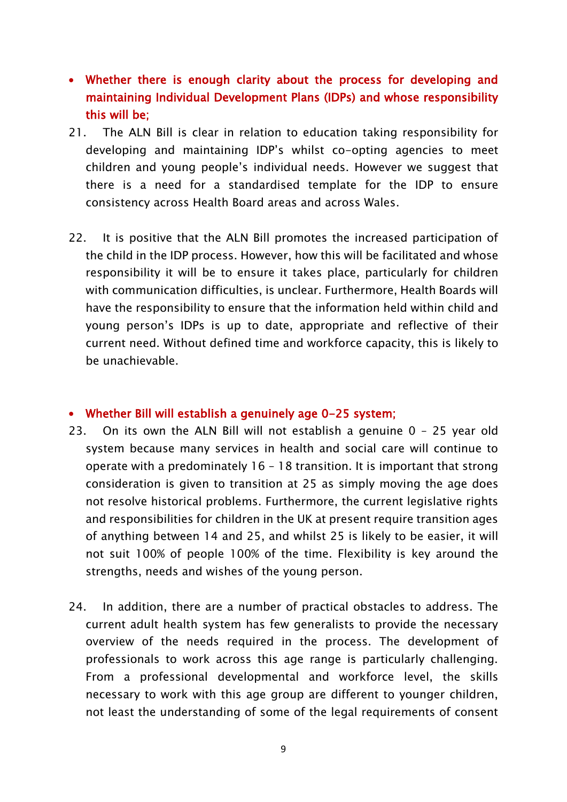- Whether there is enough clarity about the process for developing and maintaining Individual Development Plans (IDPs) and whose responsibility this will be;
- 21. The ALN Bill is clear in relation to education taking responsibility for developing and maintaining IDP's whilst co-opting agencies to meet children and young people's individual needs. However we suggest that there is a need for a standardised template for the IDP to ensure consistency across Health Board areas and across Wales.
- 22. It is positive that the ALN Bill promotes the increased participation of the child in the IDP process. However, how this will be facilitated and whose responsibility it will be to ensure it takes place, particularly for children with communication difficulties, is unclear. Furthermore, Health Boards will have the responsibility to ensure that the information held within child and young person's IDPs is up to date, appropriate and reflective of their current need. Without defined time and workforce capacity, this is likely to be unachievable.

#### Whether Bill will establish a genuinely age 0-25 system;

- 23. On its own the ALN Bill will not establish a genuine 0 25 year old system because many services in health and social care will continue to operate with a predominately 16 – 18 transition. It is important that strong consideration is given to transition at 25 as simply moving the age does not resolve historical problems. Furthermore, the current legislative rights and responsibilities for children in the UK at present require transition ages of anything between 14 and 25, and whilst 25 is likely to be easier, it will not suit 100% of people 100% of the time. Flexibility is key around the strengths, needs and wishes of the young person.
- 24. In addition, there are a number of practical obstacles to address. The current adult health system has few generalists to provide the necessary overview of the needs required in the process. The development of professionals to work across this age range is particularly challenging. From a professional developmental and workforce level, the skills necessary to work with this age group are different to younger children, not least the understanding of some of the legal requirements of consent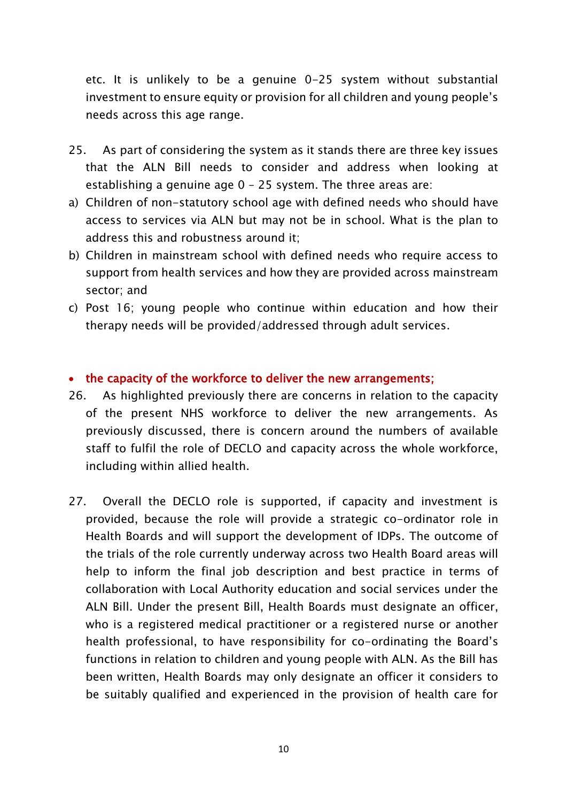etc. It is unlikely to be a genuine 0-25 system without substantial investment to ensure equity or provision for all children and young people's needs across this age range.

- 25. As part of considering the system as it stands there are three key issues that the ALN Bill needs to consider and address when looking at establishing a genuine age 0 – 25 system. The three areas are:
- a) Children of non-statutory school age with defined needs who should have access to services via ALN but may not be in school. What is the plan to address this and robustness around it;
- b) Children in mainstream school with defined needs who require access to support from health services and how they are provided across mainstream sector; and
- c) Post 16; young people who continue within education and how their therapy needs will be provided/addressed through adult services.

### • the capacity of the workforce to deliver the new arrangements;

- 26. As highlighted previously there are concerns in relation to the capacity of the present NHS workforce to deliver the new arrangements. As previously discussed, there is concern around the numbers of available staff to fulfil the role of DECLO and capacity across the whole workforce, including within allied health.
- 27. Overall the DECLO role is supported, if capacity and investment is provided, because the role will provide a strategic co-ordinator role in Health Boards and will support the development of IDPs. The outcome of the trials of the role currently underway across two Health Board areas will help to inform the final job description and best practice in terms of collaboration with Local Authority education and social services under the ALN Bill. Under the present Bill, Health Boards must designate an officer, who is a registered medical practitioner or a registered nurse or another health professional, to have responsibility for co-ordinating the Board's functions in relation to children and young people with ALN. As the Bill has been written, Health Boards may only designate an officer it considers to be suitably qualified and experienced in the provision of health care for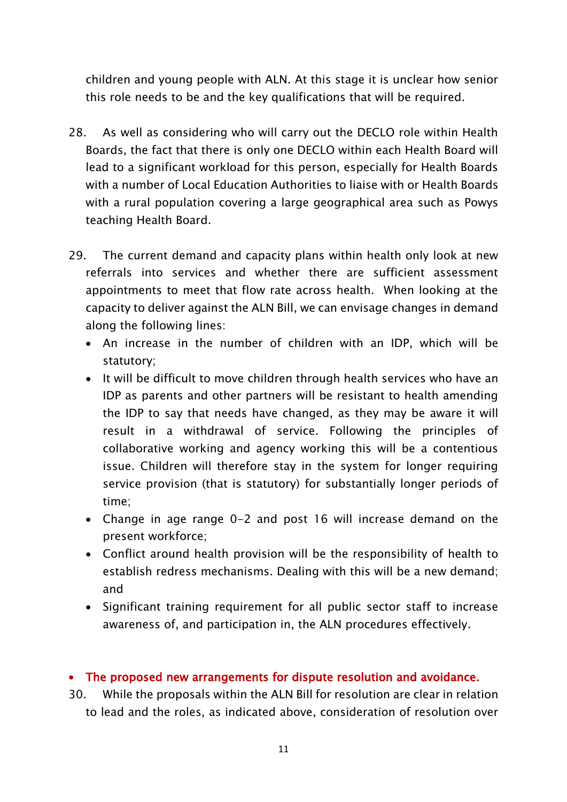children and young people with ALN. At this stage it is unclear how senior this role needs to be and the key qualifications that will be required.

- 28. As well as considering who will carry out the DECLO role within Health Boards, the fact that there is only one DECLO within each Health Board will lead to a significant workload for this person, especially for Health Boards with a number of Local Education Authorities to liaise with or Health Boards with a rural population covering a large geographical area such as Powys teaching Health Board.
- 29. The current demand and capacity plans within health only look at new referrals into services and whether there are sufficient assessment appointments to meet that flow rate across health. When looking at the capacity to deliver against the ALN Bill, we can envisage changes in demand along the following lines:
	- An increase in the number of children with an IDP, which will be statutory;
	- It will be difficult to move children through health services who have an IDP as parents and other partners will be resistant to health amending the IDP to say that needs have changed, as they may be aware it will result in a withdrawal of service. Following the principles of collaborative working and agency working this will be a contentious issue. Children will therefore stay in the system for longer requiring service provision (that is statutory) for substantially longer periods of time;
	- Change in age range 0-2 and post 16 will increase demand on the present workforce;
	- Conflict around health provision will be the responsibility of health to establish redress mechanisms. Dealing with this will be a new demand; and
	- Significant training requirement for all public sector staff to increase awareness of, and participation in, the ALN procedures effectively.

# The proposed new arrangements for dispute resolution and avoidance.

30. While the proposals within the ALN Bill for resolution are clear in relation to lead and the roles, as indicated above, consideration of resolution over